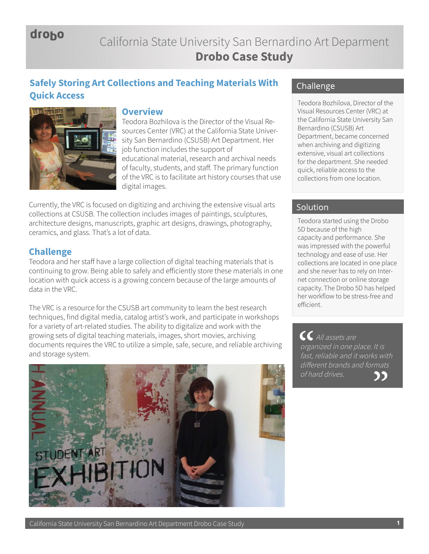droho

## California State University San Bernardino Art Deparment **Drobo Case Study**

# **Safely Storing Art Collections and Teaching Materials With Quick Access Quick Access Teodora Bozhilova**, Director of the



## **Overview**

Teodora Bozhilova is the Director of the Visual Resources Center (VRC) at the California State University San Bernardino (CSUSB) Art Department. Her job function includes the support of educational material, research and archival needs of faculty, students, and staff. The primary function of the VRC is to facilitate art history courses that use digital images.

Currently, the VRC is focused on digitizing and archiving the extensive visual arts collections at CSUSB. The collection includes images of paintings, sculptures, architecture designs, manuscripts, graphic art designs, drawings, photography, ceramics, and glass. That's a lot of data.

## **Challenge**

Teodora and her staff have a large collection of digital teaching materials that is continuing to grow. Being able to safely and efficiently store these materials in one location with quick access is a growing concern because of the large amounts of data in the VRC.

The VRC is a resource for the CSUSB art community to learn the best research techniques, find digital media, catalog artist's work, and participate in workshops for a variety of art-related studies. The ability to digitalize and work with the growing sets of digital teaching materials, images, short movies, archiving documents requires the VRC to utilize a simple, safe, secure, and reliable archiving and storage system.



## Challenge

Visual Resources Center (VRC) at the California State University San Bernardino (CSUSB) Art Department, became concerned when archiving and digitizing extensive, visual art collections for the department. She needed quick, reliable access to the collections from one location.

## Solution

Teodora started using the Drobo 5D because of the high capacity and performance. She was impressed with the powerful technology and ease of use. Her collections are located in one place and she never has to rely on Internet connection or online storage capacity. The Drobo 5D has helped her workflow to be stress-free and efficient.

 All assets are organized in one place. It is fast, reliable and it works with different brands and formats of hard drives.ככ